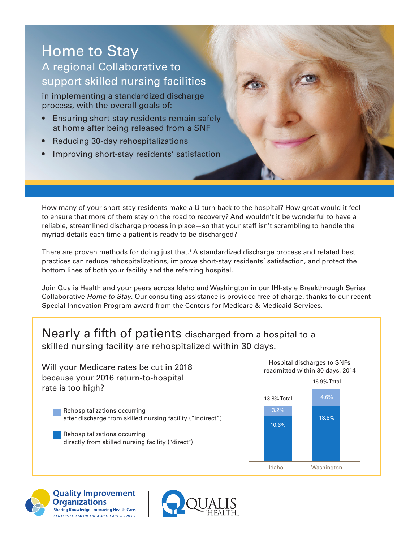# Home to Stay

## A regional Collaborative to support skilled nursing facilities

in implementing a standardized discharge process, with the overall goals of:

- Ensuring short-stay residents remain safely at home after being released from a SNF
- Reducing 30-day rehospitalizations
- Improving short-stay residents' satisfaction

How many of your short-stay residents make a U-turn back to the hospital? How great would it feel to ensure that more of them stay on the road to recovery? And wouldn't it be wonderful to have a reliable, streamlined discharge process in place—so that your staff isn't scrambling to handle the myriad details each time a patient is ready to be discharged?

There are proven methods for doing just that.<sup>1</sup> A standardized discharge process and related best practices can reduce rehospitalizations, improve short-stay residents' satisfaction, and protect the bottom lines of both your facility and the referring hospital.

Join Qualis Health and your peers across Idaho and Washington in our IHI-style Breakthrough Series Collaborative *Home to Stay*. Our consulting assistance is provided free of charge, thanks to our recent Special Innovation Program award from the Centers for Medicare & Medicaid Services.

### Nearly a fifth of patients discharged from a hospital to a skilled nursing facility are rehospitalized within 30 days.

13.8% Total 3.2% 10.6% 16.9% Total 4.6% 13.8% Hospital discharges to SNFs readmitted within 30 days, 2014 Rehospitalizations occurring after discharge from skilled nursing facility ("indirect") Rehospitalizations occurring directly from skilled nursing facility ("direct") Will your Medicare rates be cut in 2018 because your 2016 return-to-hospital rate is too high?

Idaho Washington



**Quality Improvement Organizations** Sharing Knowledge. Improving Health Care. CENTERS FOR MEDICARE & MEDICAID SERVICES